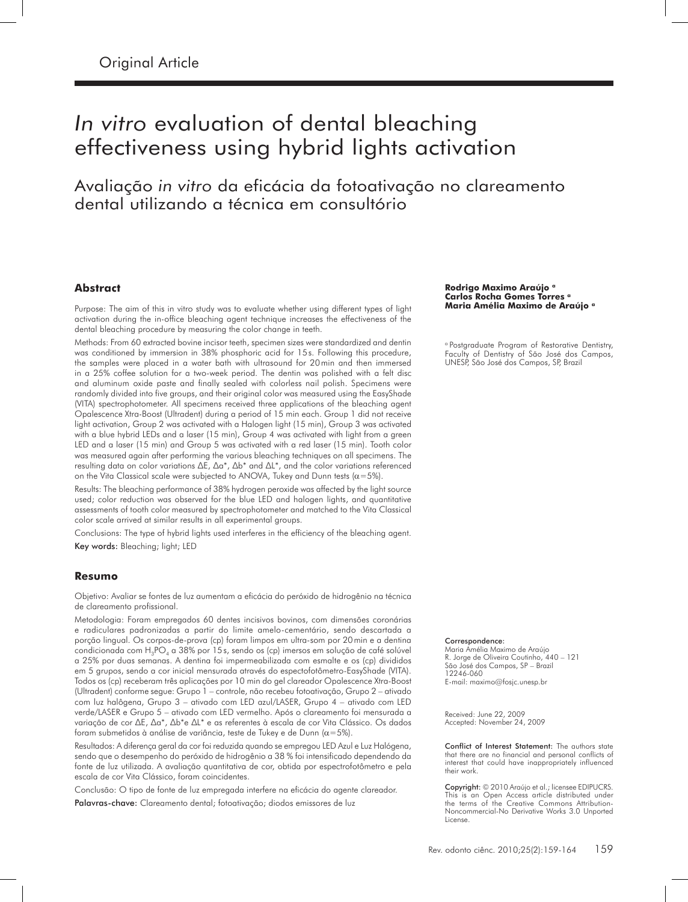# *In vitro* evaluation of dental bleaching effectiveness using hybrid lights activation

Avaliação *in vitro* da eficácia da fotoativação no clareamento dental utilizando a técnica em consultório

#### **Abstract**

Purpose: The aim of this in vitro study was to evaluate whether using different types of light activation during the in-office bleaching agent technique increases the effectiveness of the dental bleaching procedure by measuring the color change in teeth.

Methods: From 60 extracted bovine incisor teeth, specimen sizes were standardized and dentin was conditioned by immersion in 38% phosphoric acid for 15s. Following this procedure, the samples were placed in a water bath with ultrasound for 20min and then immersed in a 25% coffee solution for a two-week period. The dentin was polished with a felt disc and aluminum oxide paste and finally sealed with colorless nail polish. Specimens were randomly divided into five groups, and their original color was measured using the EasyShade (VITA) spectrophotometer. All specimens received three applications of the bleaching agent Opalescence Xtra-Boost (Ultradent) during a period of 15 min each. Group 1 did not receive light activation, Group 2 was activated with a Halogen light (15 min), Group 3 was activated with a blue hybrid LEDs and a laser (15 min), Group 4 was activated with light from a green LED and a laser (15 min) and Group 5 was activated with a red laser (15 min). Tooth color was measured again after performing the various bleaching techniques on all specimens. The resulting data on color variations ΔE, Δa\*, Δb\* and ΔL\*, and the color variations referenced on the Vita Classical scale were subjected to ANOVA, Tukey and Dunn tests ( $\alpha$ =5%).

Results: The bleaching performance of 38% hydrogen peroxide was affected by the light source used; color reduction was observed for the blue LED and halogen lights, and quantitative assessments of tooth color measured by spectrophotometer and matched to the Vita Classical color scale arrived at similar results in all experimental groups.

Conclusions: The type of hybrid lights used interferes in the efficiency of the bleaching agent. Key words: Bleaching; light; LED

#### **Resumo**

Objetivo: Avaliar se fontes de luz aumentam a eficácia do peróxido de hidrogênio na técnica de clareamento profissional.

Metodologia: Foram empregados 60 dentes incisivos bovinos, com dimensões coronárias e radiculares padronizadas a partir do limite amelo-cementário, sendo descartada a porção lingual. Os corpos-de-prova (cp) foram limpos em ultra-som por 20min e a dentina condicionada com H<sub>3</sub>PO<sub>4</sub> a 38% por 15s, sendo os (cp) imersos em solução de café solúvel a 25% por duas semanas. A dentina foi impermeabilizada com esmalte e os (cp) divididos em 5 grupos, sendo a cor inicial mensurada através do espectofotômetro-EasyShade (VITA). Todos os (cp) receberam três aplicações por 10 min do gel clareador Opalescence Xtra-Boost (Ultradent) conforme segue: Grupo 1 – controle, não recebeu fotoativação, Grupo 2 – ativado com luz halôgena, Grupo 3 – ativado com LED azul/LASER, Grupo 4 – ativado com LED verde/LASER e Grupo 5 – ativado com LED vermelho. Após o clareamento foi mensurada a variação de cor ΔE, Δa\*, Δb\*e ΔL\* e as referentes à escala de cor Vita Clássico. Os dados foram submetidos à análise de variância, teste de Tukey e de Dunn ( $\alpha$ =5%)

Resultados: A diferença geral da cor foi reduzida quando se empregou LED Azul e Luz Halógena, sendo que o desempenho do peróxido de hidrogênio a 38 % foi intensificado dependendo da fonte de luz utilizada. A avaliação quantitativa de cor, obtida por espectrofotômetro e pela escala de cor Vita Clássico, foram coincidentes.

Conclusão: O tipo de fonte de luz empregada interfere na eficácia do agente clareador. Palavras-chave: Clareamento dental; fotoativação; diodos emissores de luz

#### **Rodrigo Maximo Araújo a Carlos Rocha Gomes Torres a Maria Amélia Maximo de Araújo a**

<sup>a</sup> Postgraduate Program of Restorative Dentistry, Faculty of Dentistry of São José dos Campos, UNESP, São José dos Campos, SP, Brazil

#### Correspondence:

Maria Amélia Maximo de Araújo R. Jorge de Oliveira Coutinho, 440 – 121 São José dos Campos, SP – Brazil 12246-060 E-mail: maximo@fosjc.unesp.br

Received: June 22, 2009 Accepted: November 24, 2009

Conflict of Interest Statement: The authors state that there are no financial and personal conflicts of interest that could have inappropriately influenced their work.

Copyright: © 2010 Araújo et al.; licensee EDIPUCRS. This is an Open Access article distributed under the terms of the Creative Commons Attribution-Noncommercial-No Derivative Works 3.0 Unported License.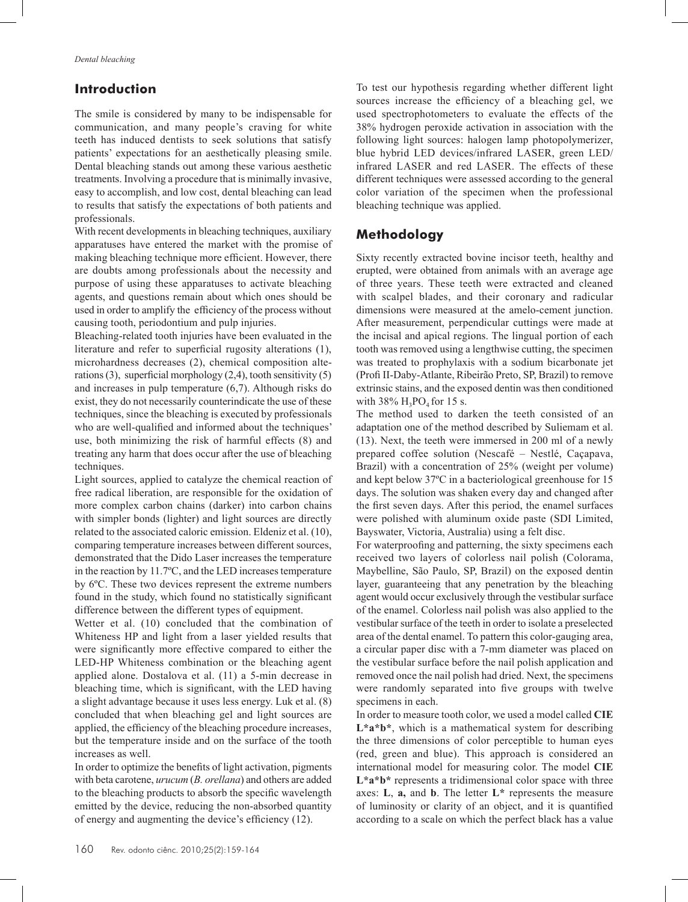## **Introduction**

The smile is considered by many to be indispensable for communication, and many people's craving for white teeth has induced dentists to seek solutions that satisfy patients' expectations for an aesthetically pleasing smile. Dental bleaching stands out among these various aesthetic treatments. Involving a procedure that is minimally invasive, easy to accomplish, and low cost, dental bleaching can lead to results that satisfy the expectations of both patients and professionals.

With recent developments in bleaching techniques, auxiliary apparatuses have entered the market with the promise of making bleaching technique more efficient. However, there are doubts among professionals about the necessity and purpose of using these apparatuses to activate bleaching agents, and questions remain about which ones should be used in order to amplify the efficiency of the process without causing tooth, periodontium and pulp injuries.

Bleaching-related tooth injuries have been evaluated in the literature and refer to superficial rugosity alterations (1), microhardness decreases (2), chemical composition alterations (3), superficial morphology  $(2,4)$ , tooth sensitivity (5) and increases in pulp temperature (6,7). Although risks do exist, they do not necessarily counterindicate the use of these techniques, since the bleaching is executed by professionals who are well-qualified and informed about the techniques' use, both minimizing the risk of harmful effects (8) and treating any harm that does occur after the use of bleaching techniques.

Light sources, applied to catalyze the chemical reaction of free radical liberation, are responsible for the oxidation of more complex carbon chains (darker) into carbon chains with simpler bonds (lighter) and light sources are directly related to the associated caloric emission. Eldeniz et al. (10), comparing temperature increases between different sources, demonstrated that the Dido Laser increases the temperature in the reaction by 11.7ºC, and the LED increases temperature by 6ºC. These two devices represent the extreme numbers found in the study, which found no statistically significant difference between the different types of equipment.

Wetter et al. (10) concluded that the combination of Whiteness HP and light from a laser yielded results that were significantly more effective compared to either the LED-HP Whiteness combination or the bleaching agent applied alone. Dostalova et al. (11) a 5-min decrease in bleaching time, which is significant, with the LED having a slight advantage because it uses less energy. Luk et al. (8) concluded that when bleaching gel and light sources are applied, the efficiency of the bleaching procedure increases, but the temperature inside and on the surface of the tooth increases as well.

In order to optimize the benefits of light activation, pigments with beta carotene, *urucum* (*B. orellana*) and others are added to the bleaching products to absorb the specific wavelength emitted by the device, reducing the non-absorbed quantity of energy and augmenting the device's efficiency (12).

To test our hypothesis regarding whether different light sources increase the efficiency of a bleaching gel, we used spectrophotometers to evaluate the effects of the 38% hydrogen peroxide activation in association with the following light sources: halogen lamp photopolymerizer, blue hybrid LED devices/infrared LASER, green LED/ infrared LASER and red LASER. The effects of these different techniques were assessed according to the general color variation of the specimen when the professional bleaching technique was applied.

# **Methodology**

Sixty recently extracted bovine incisor teeth, healthy and erupted, were obtained from animals with an average age of three years. These teeth were extracted and cleaned with scalpel blades, and their coronary and radicular dimensions were measured at the amelo-cement junction. After measurement, perpendicular cuttings were made at the incisal and apical regions. The lingual portion of each tooth was removed using a lengthwise cutting, the specimen was treated to prophylaxis with a sodium bicarbonate jet (Profi II-Daby-Atlante, Ribeirão Preto, SP, Brazil) to remove extrinsic stains, and the exposed dentin was then conditioned with  $38\%$  H<sub>3</sub>PO<sub>4</sub> for 15 s.

The method used to darken the teeth consisted of an adaptation one of the method described by Suliemam et al. (13). Next, the teeth were immersed in 200 ml of a newly prepared coffee solution (Nescafé – Nestlé, Caçapava, Brazil) with a concentration of 25% (weight per volume) and kept below 37ºC in a bacteriological greenhouse for 15 days. The solution was shaken every day and changed after the first seven days. After this period, the enamel surfaces were polished with aluminum oxide paste (SDI Limited, Bayswater, Victoria, Australia) using a felt disc.

For waterproofing and patterning, the sixty specimens each received two layers of colorless nail polish (Colorama, Maybelline, São Paulo, SP, Brazil) on the exposed dentin layer, guaranteeing that any penetration by the bleaching agent would occur exclusively through the vestibular surface of the enamel. Colorless nail polish was also applied to the vestibular surface of the teeth in order to isolate a preselected area of the dental enamel. To pattern this color-gauging area, a circular paper disc with a 7-mm diameter was placed on the vestibular surface before the nail polish application and removed once the nail polish had dried. Next, the specimens were randomly separated into five groups with twelve specimens in each.

In order to measure tooth color, we used a model called **CIE**  L<sup>\*</sup>a<sup>\*b\*</sup>, which is a mathematical system for describing the three dimensions of color perceptible to human eyes (red, green and blue). This approach is considered an international model for measuring color. The model **CIE**  L<sup>\*</sup>a<sup>\*b\*</sup> represents a tridimensional color space with three axes: **L**, **a,** and **b**. The letter **L\*** represents the measure of luminosity or clarity of an object, and it is quantified according to a scale on which the perfect black has a value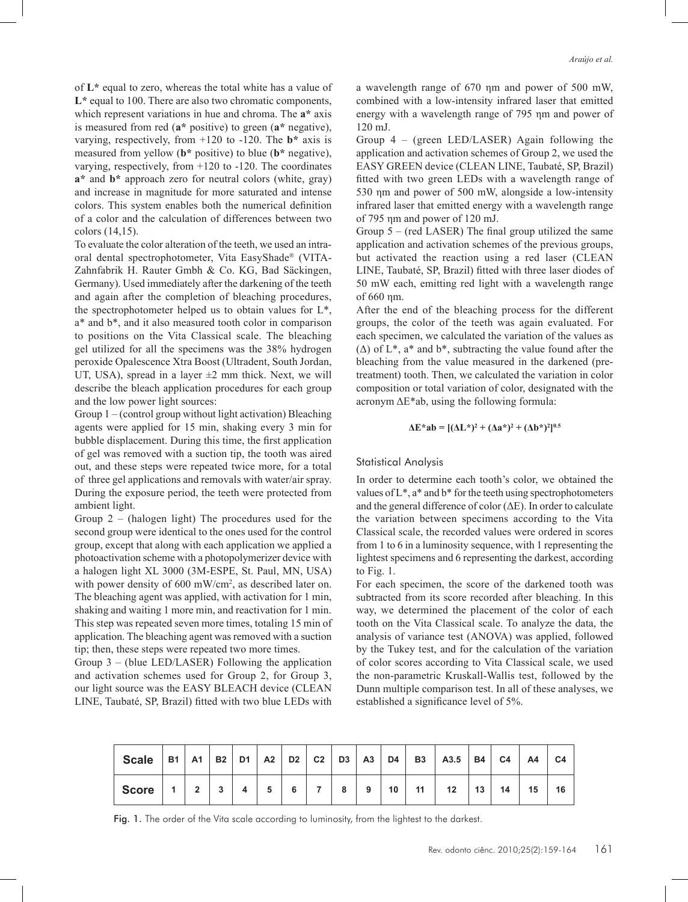of **L\*** equal to zero, whereas the total white has a value of **L\*** equal to 100. There are also two chromatic components, which represent variations in hue and chroma. The **a\*** axis is measured from red (**a\*** positive) to green (**a\*** negative), varying, respectively, from +120 to -120. The **b\*** axis is measured from yellow (**b\*** positive) to blue (**b\*** negative), varying, respectively, from +120 to -120. The coordinates **a\*** and **b\*** approach zero for neutral colors (white, gray) and increase in magnitude for more saturated and intense colors. This system enables both the numerical definition of a color and the calculation of differences between two colors (14,15).

To evaluate the color alteration of the teeth, we used an intraoral dental spectrophotometer, Vita EasyShade® (VITA-Zahnfabrik H. Rauter Gmbh & Co. KG, Bad Säckingen, Germany). Used immediately after the darkening of the teeth and again after the completion of bleaching procedures, the spectrophotometer helped us to obtain values for  $L^*$ , a\* and b\*, and it also measured tooth color in comparison to positions on the Vita Classical scale. The bleaching gel utilized for all the specimens was the 38% hydrogen peroxide Opalescence Xtra Boost (Ultradent, South Jordan, UT, USA), spread in a layer  $\pm 2$  mm thick. Next, we will describe the bleach application procedures for each group and the low power light sources:

Group 1 – (control group without light activation) Bleaching agents were applied for 15 min, shaking every 3 min for bubble displacement. During this time, the first application of gel was removed with a suction tip, the tooth was aired out, and these steps were repeated twice more, for a total of three gel applications and removals with water/air spray. During the exposure period, the teeth were protected from ambient light.

Group 2 – (halogen light) The procedures used for the second group were identical to the ones used for the control group, except that along with each application we applied a photoactivation scheme with a photopolymerizer device with a halogen light XL 3000 (3M-ESPE, St. Paul, MN, USA) with power density of 600 mW/cm<sup>2</sup>, as described later on. The bleaching agent was applied, with activation for 1 min, shaking and waiting 1 more min, and reactivation for 1 min. This step was repeated seven more times, totaling 15 min of application. The bleaching agent was removed with a suction tip; then, these steps were repeated two more times.

Group 3 – (blue LED/LASER) Following the application and activation schemes used for Group 2, for Group 3, our light source was the EASY BLEACH device (CLEAN LINE, Taubaté, SP, Brazil) fitted with two blue LEDs with a wavelength range of 670 ηm and power of 500 mW, combined with a low-intensity infrared laser that emitted energy with a wavelength range of 795 ηm and power of 120 mJ.

Group 4 – (green LED/LASER) Again following the application and activation schemes of Group 2, we used the EASY GREEN device (CLEAN LINE, Taubaté, SP, Brazil) fitted with two green LEDs with a wavelength range of 530 ηm and power of 500 mW, alongside a low-intensity infrared laser that emitted energy with a wavelength range of 795 ηm and power of 120 mJ.

Group 5 – (red LASER) The final group utilized the same application and activation schemes of the previous groups, but activated the reaction using a red laser (CLEAN LINE, Taubaté, SP, Brazil) fitted with three laser diodes of 50 mW each, emitting red light with a wavelength range of 660 ηm.

After the end of the bleaching process for the different groups, the color of the teeth was again evaluated. For each specimen, we calculated the variation of the values as  $(\Delta)$  of  $L^*$ , a<sup>\*</sup> and  $b^*$ , subtracting the value found after the bleaching from the value measured in the darkened (pretreatment) tooth. Then, we calculated the variation in color composition or total variation of color, designated with the acronym ΔE\*ab, using the following formula:

$$
\Delta E^*ab = [(\Delta L^*)^2 + (\Delta a^*)^2 + (\Delta b^*)^2]^{0.5}
$$

#### Statistical Analysis

In order to determine each tooth's color, we obtained the values of  $L^*$ ,  $a^*$  and  $b^*$  for the teeth using spectrophotometers and the general difference of color  $(\Delta E)$ . In order to calculate the variation between specimens according to the Vita Classical scale, the recorded values were ordered in scores from 1 to 6 in a luminosity sequence, with 1 representing the lightest specimens and 6 representing the darkest, according to Fig. 1.

For each specimen, the score of the darkened tooth was subtracted from its score recorded after bleaching. In this way, we determined the placement of the color of each tooth on the Vita Classical scale. To analyze the data, the analysis of variance test (ANOVA) was applied, followed by the Tukey test, and for the calculation of the variation of color scores according to Vita Classical scale, we used the non-parametric Kruskall-Wallis test, followed by the Dunn multiple comparison test. In all of these analyses, we established a significance level of 5%.

| <b>Scale</b> | <b>B1</b> |                | $A1 \mid B2 \mid$ |                |                |                |               |    |    |                    | D1   A2   D2   C2   D3   A3   D4   B3   A3.5   B4   C4 |    |    | $AA$ $C4$ |    |
|--------------|-----------|----------------|-------------------|----------------|----------------|----------------|---------------|----|----|--------------------|--------------------------------------------------------|----|----|-----------|----|
| <b>Score</b> |           | $\overline{2}$ | $\mathbf{3}$      | $\overline{4}$ | 5 <sup>5</sup> | 6 <sup>1</sup> | $\frac{1}{7}$ | 89 | 10 | $\vert$ 11 $\vert$ | 12                                                     | 13 | 14 | 15        | 16 |

Fig. 1. The order of the Vita scale according to luminosity, from the lightest to the darkest.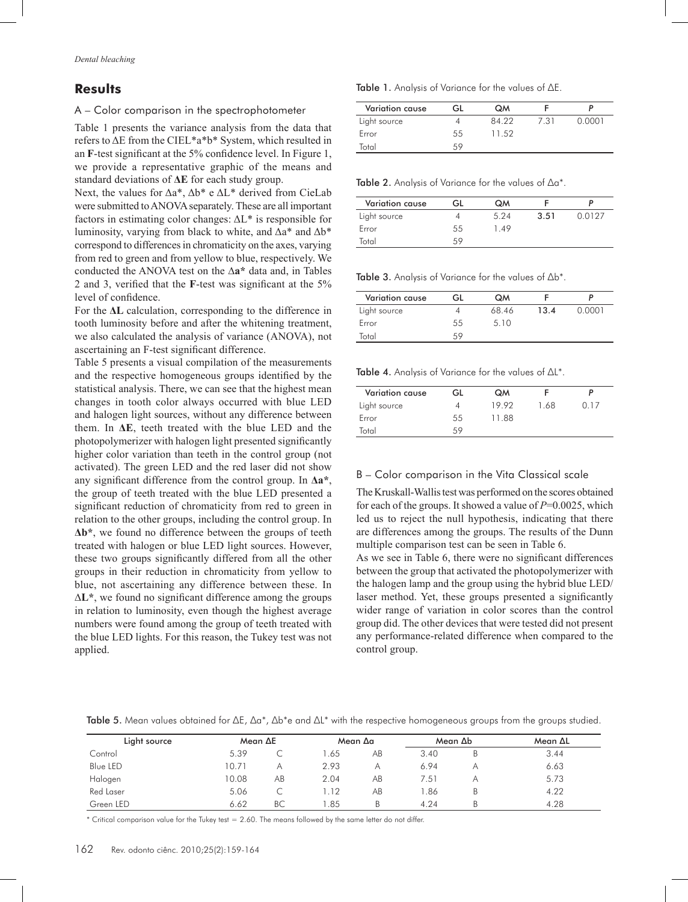## **Results**

#### A – Color comparison in the spectrophotometer

Table 1 presents the variance analysis from the data that refers to ΔE from the CIEL\*a\*b\* System, which resulted in an **F**-test significant at the 5% confidence level. In Figure 1, we provide a representative graphic of the means and standard deviations of **ΔE** for each study group.

Next, the values for  $\Delta a^*$ ,  $\Delta b^*$  e  $\Delta L^*$  derived from CieLab were submitted to ANOVA separately. These are all important factors in estimating color changes:  $\Delta L^*$  is responsible for luminosity, varying from black to white, and  $\Delta a^*$  and  $\Delta b^*$ correspond to differences in chromaticity on the axes, varying from red to green and from yellow to blue, respectively. We conducted the ANOVA test on the **∆a\*** data and, in Tables 2 and 3, verified that the **F**-test was significant at the 5% level of confidence.

For the **ΔL** calculation, corresponding to the difference in tooth luminosity before and after the whitening treatment, we also calculated the analysis of variance (ANOVA), not ascertaining an F-test significant difference.

Table 5 presents a visual compilation of the measurements and the respective homogeneous groups identified by the statistical analysis. There, we can see that the highest mean changes in tooth color always occurred with blue LED and halogen light sources, without any difference between them. In **ΔE**, teeth treated with the blue LED and the photopolymerizer with halogen light presented significantly higher color variation than teeth in the control group (not activated). The green LED and the red laser did not show any significant difference from the control group. In **Δa\***, the group of teeth treated with the blue LED presented a significant reduction of chromaticity from red to green in relation to the other groups, including the control group. In **Δb\***, we found no difference between the groups of teeth treated with halogen or blue LED light sources. However, these two groups significantly differed from all the other groups in their reduction in chromaticity from yellow to blue, not ascertaining any difference between these. In **∆L\***, we found no significant difference among the groups in relation to luminosity, even though the highest average numbers were found among the group of teeth treated with the blue LED lights. For this reason, the Tukey test was not applied.

Table 1. Analysis of Variance for the values of ∆E.

| Variation cause | GL | QM    |     |        |
|-----------------|----|-------|-----|--------|
| Light source    |    | 84.22 | 731 | 0.0001 |
| Error           | 55 | 11.52 |     |        |
| otal            | 59 |       |     |        |

Table 2. Analysis of Variance for the values of ∆a\*.

| Variation cause | GI | QM    |      |        |
|-----------------|----|-------|------|--------|
| Light source    |    | 5 2 4 | 3.51 | 0.0127 |
| Error           | 55 | 149   |      |        |
| Total           | 59 |       |      |        |

Table 3. Analysis of Variance for the values of ∆b\*.

| <b>Variation cause</b> | GL | QM    |      |        |
|------------------------|----|-------|------|--------|
| Light source           |    | 68.46 | 13.4 | 0.0001 |
| Error                  | 55 | 510   |      |        |
| Total                  | 59 |       |      |        |

Table 4. Analysis of Variance for the values of ∆L\*.

| Variation cause | GL | QM   |      |      |
|-----------------|----|------|------|------|
| Light source    |    | 1992 | 1.68 | 0.17 |
| Error           | 55 | 1188 |      |      |
| Total           | 59 |      |      |      |

#### B – Color comparison in the Vita Classical scale

The Kruskall-Wallis test was performed on the scores obtained for each of the groups. It showed a value of *P*=0.0025, which led us to reject the null hypothesis, indicating that there are differences among the groups. The results of the Dunn multiple comparison test can be seen in Table 6.

As we see in Table 6, there were no significant differences between the group that activated the photopolymerizer with the halogen lamp and the group using the hybrid blue LED/ laser method. Yet, these groups presented a significantly wider range of variation in color scores than the control group did. The other devices that were tested did not present any performance-related difference when compared to the control group.

|  |  |  |  |  |  |  |  |  |  |  |  | Table 5. Mean values obtained for $\Delta E$ , $\Delta \alpha^*$ , $\Delta b^*$ e and $\Delta L^*$ with the respective homogeneous groups from the groups studied. |  |  |  |  |  |  |  |  |
|--|--|--|--|--|--|--|--|--|--|--|--|--------------------------------------------------------------------------------------------------------------------------------------------------------------------|--|--|--|--|--|--|--|--|
|--|--|--|--|--|--|--|--|--|--|--|--|--------------------------------------------------------------------------------------------------------------------------------------------------------------------|--|--|--|--|--|--|--|--|

| Light source | Mean $\Delta E$ |    |      | Mean ∆a | Mean $\Delta b$ |   | Mean $\Delta L$ |
|--------------|-----------------|----|------|---------|-----------------|---|-----------------|
| Control      | 5.39            |    | .65  | ΑB      | 3.40            |   | 3.44            |
| Blue LED     | 10.71           |    | 2.93 | Α       | 6.94            |   | 6.63            |
| Halogen      | 10.08           | AB | 2.04 | ΑB      | 7.51            |   | 5.73            |
| Red Laser    | 5.06            | ◡  | .12  | AB      | .86             | B | 4.22            |
| Green LED    | 6.62            | BC | .85  | B       | 4.24            | B | 4.28            |

\* Critical comparison value for the Tukey test = 2.60. The means followed by the same letter do not differ.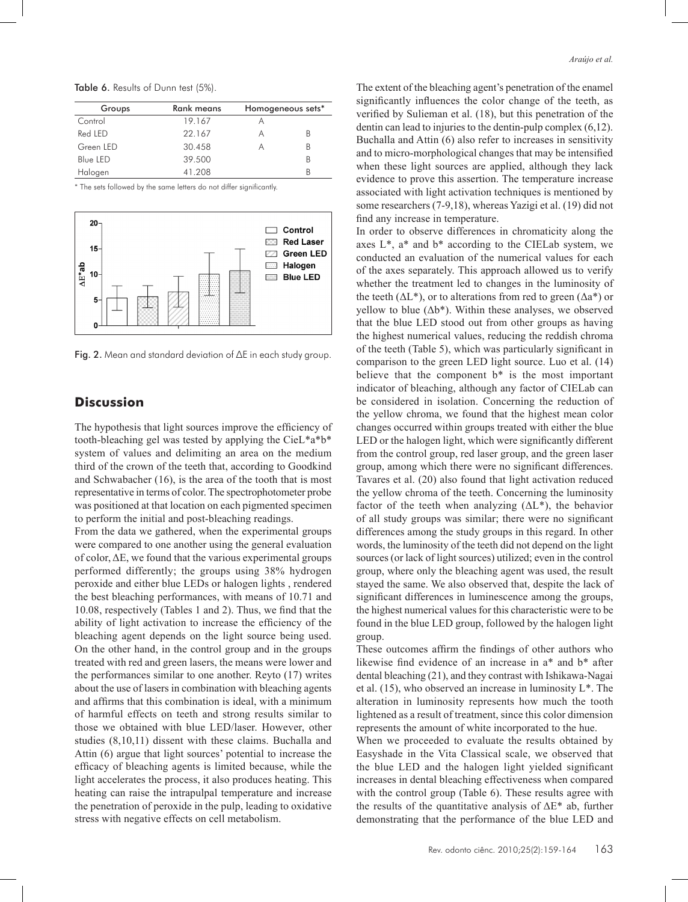Table 6. Results of Dunn test (5%).

| Groups    | Rank means | Homogeneous sets* |   |  |  |  |
|-----------|------------|-------------------|---|--|--|--|
| Control   | 19.167     | Α                 |   |  |  |  |
| Red LED   | 22.167     | Α                 | B |  |  |  |
| Green LED | 30.458     | А                 | R |  |  |  |
| Blue LED  | 39,500     |                   | B |  |  |  |
| Halogen   | 41.208     |                   | R |  |  |  |

\* The sets followed by the same letters do not differ significantly.



Fig. 2. Mean and standard deviation of ΔE in each study group.

## **Discussion**

The hypothesis that light sources improve the efficiency of tooth-bleaching gel was tested by applying the CieL\*a\*b\* system of values and delimiting an area on the medium third of the crown of the teeth that, according to Goodkind and Schwabacher (16), is the area of the tooth that is most representative in terms of color. The spectrophotometer probe was positioned at that location on each pigmented specimen to perform the initial and post-bleaching readings.

From the data we gathered, when the experimental groups were compared to one another using the general evaluation of color,  $\Delta E$ , we found that the various experimental groups performed differently; the groups using 38% hydrogen peroxide and either blue LEDs or halogen lights , rendered the best bleaching performances, with means of 10.71 and 10.08, respectively (Tables 1 and 2). Thus, we find that the ability of light activation to increase the efficiency of the bleaching agent depends on the light source being used. On the other hand, in the control group and in the groups treated with red and green lasers, the means were lower and the performances similar to one another. Reyto (17) writes about the use of lasers in combination with bleaching agents and affirms that this combination is ideal, with a minimum of harmful effects on teeth and strong results similar to those we obtained with blue LED/laser. However, other studies (8,10,11) dissent with these claims. Buchalla and Attin (6) argue that light sources' potential to increase the efficacy of bleaching agents is limited because, while the light accelerates the process, it also produces heating. This heating can raise the intrapulpal temperature and increase the penetration of peroxide in the pulp, leading to oxidative stress with negative effects on cell metabolism.

The extent of the bleaching agent's penetration of the enamel significantly influences the color change of the teeth, as verified by Sulieman et al. (18), but this penetration of the dentin can lead to injuries to the dentin-pulp complex (6,12). Buchalla and Attin (6) also refer to increases in sensitivity and to micro-morphological changes that may be intensified when these light sources are applied, although they lack evidence to prove this assertion. The temperature increase associated with light activation techniques is mentioned by some researchers (7-9,18), whereas Yazigi et al. (19) did not find any increase in temperature.

In order to observe differences in chromaticity along the axes  $L^*$ ,  $a^*$  and  $b^*$  according to the CIELab system, we conducted an evaluation of the numerical values for each of the axes separately. This approach allowed us to verify whether the treatment led to changes in the luminosity of the teeth  $(\Delta L^*)$ , or to alterations from red to green  $(\Delta a^*)$  or yellow to blue  $(\Delta b^*)$ . Within these analyses, we observed that the blue LED stood out from other groups as having the highest numerical values, reducing the reddish chroma of the teeth (Table 5), which was particularly significant in comparison to the green LED light source. Luo et al. (14) believe that the component  $b^*$  is the most important indicator of bleaching, although any factor of CIELab can be considered in isolation. Concerning the reduction of the yellow chroma, we found that the highest mean color changes occurred within groups treated with either the blue LED or the halogen light, which were significantly different from the control group, red laser group, and the green laser group, among which there were no significant differences. Tavares et al. (20) also found that light activation reduced the yellow chroma of the teeth. Concerning the luminosity factor of the teeth when analyzing  $(\Delta L^*)$ , the behavior of all study groups was similar; there were no significant differences among the study groups in this regard. In other words, the luminosity of the teeth did not depend on the light sources (or lack of light sources) utilized; even in the control group, where only the bleaching agent was used, the result stayed the same. We also observed that, despite the lack of significant differences in luminescence among the groups, the highest numerical values for this characteristic were to be found in the blue LED group, followed by the halogen light group.

These outcomes affirm the findings of other authors who likewise find evidence of an increase in a\* and b\* after dental bleaching (21), and they contrast with Ishikawa-Nagai et al. (15), who observed an increase in luminosity L\*. The alteration in luminosity represents how much the tooth lightened as a result of treatment, since this color dimension represents the amount of white incorporated to the hue.

When we proceeded to evaluate the results obtained by Easyshade in the Vita Classical scale, we observed that the blue LED and the halogen light yielded significant increases in dental bleaching effectiveness when compared with the control group (Table 6). These results agree with the results of the quantitative analysis of  $\Delta E^*$  ab, further demonstrating that the performance of the blue LED and